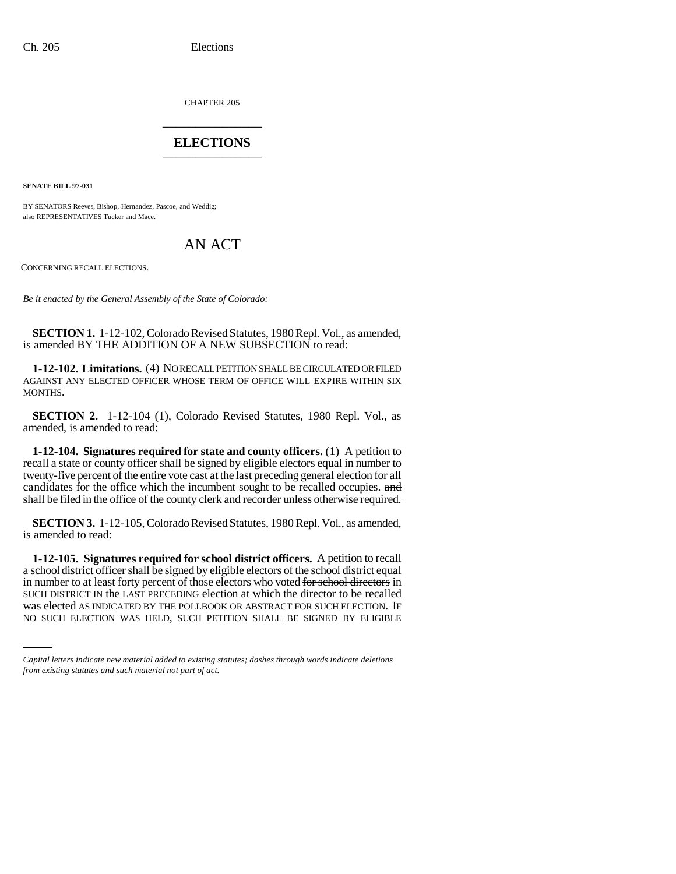CHAPTER 205 \_\_\_\_\_\_\_\_\_\_\_\_\_\_\_

## **ELECTIONS** \_\_\_\_\_\_\_\_\_\_\_\_\_\_\_

**SENATE BILL 97-031**

BY SENATORS Reeves, Bishop, Hernandez, Pascoe, and Weddig; also REPRESENTATIVES Tucker and Mace.

## AN ACT

CONCERNING RECALL ELECTIONS.

*Be it enacted by the General Assembly of the State of Colorado:*

**SECTION 1.** 1-12-102, Colorado Revised Statutes, 1980 Repl. Vol., as amended, is amended BY THE ADDITION OF A NEW SUBSECTION to read:

**1-12-102. Limitations.** (4) NO RECALL PETITION SHALL BE CIRCULATED OR FILED AGAINST ANY ELECTED OFFICER WHOSE TERM OF OFFICE WILL EXPIRE WITHIN SIX MONTHS.

**SECTION 2.** 1-12-104 (1), Colorado Revised Statutes, 1980 Repl. Vol., as amended, is amended to read:

**1-12-104. Signatures required for state and county officers.** (1) A petition to recall a state or county officer shall be signed by eligible electors equal in number to twenty-five percent of the entire vote cast at the last preceding general election for all candidates for the office which the incumbent sought to be recalled occupies. and shall be filed in the office of the county clerk and recorder unless otherwise required.

**SECTION 3.** 1-12-105, Colorado Revised Statutes, 1980 Repl. Vol., as amended, is amended to read:

SUCH DISTRICT IN the LAST PRECEDING election at which the director to be recalled **1-12-105. Signatures required for school district officers.** A petition to recall a school district officer shall be signed by eligible electors of the school district equal in number to at least forty percent of those electors who voted for school directors in was elected AS INDICATED BY THE POLLBOOK OR ABSTRACT FOR SUCH ELECTION. IF NO SUCH ELECTION WAS HELD, SUCH PETITION SHALL BE SIGNED BY ELIGIBLE

*Capital letters indicate new material added to existing statutes; dashes through words indicate deletions from existing statutes and such material not part of act.*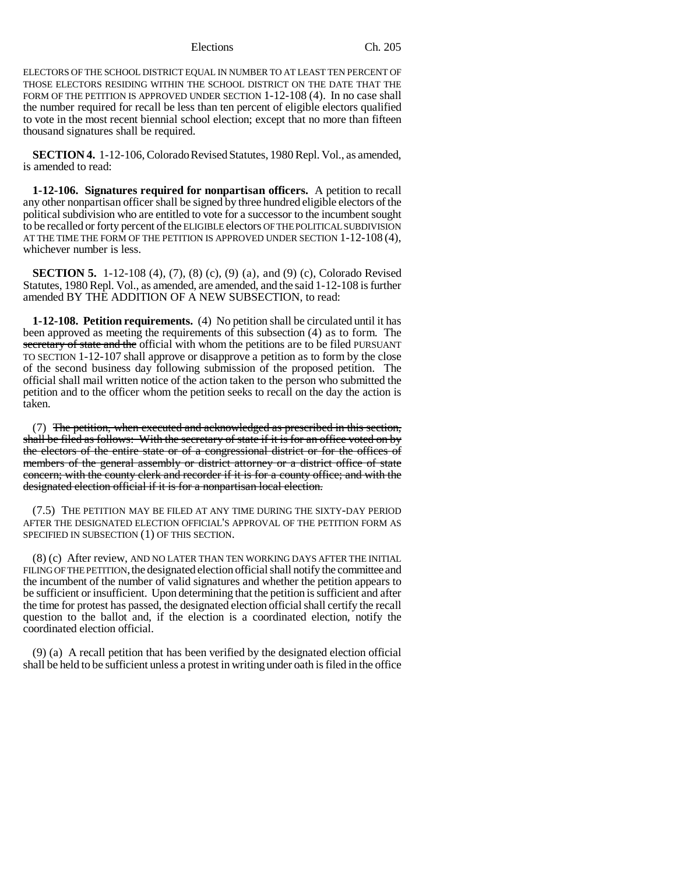Elections Ch. 205

ELECTORS OF THE SCHOOL DISTRICT EQUAL IN NUMBER TO AT LEAST TEN PERCENT OF THOSE ELECTORS RESIDING WITHIN THE SCHOOL DISTRICT ON THE DATE THAT THE FORM OF THE PETITION IS APPROVED UNDER SECTION 1-12-108 (4). In no case shall the number required for recall be less than ten percent of eligible electors qualified to vote in the most recent biennial school election; except that no more than fifteen thousand signatures shall be required.

**SECTION 4.** 1-12-106, Colorado Revised Statutes, 1980 Repl. Vol., as amended, is amended to read:

**1-12-106. Signatures required for nonpartisan officers.** A petition to recall any other nonpartisan officer shall be signed by three hundred eligible electors of the political subdivision who are entitled to vote for a successor to the incumbent sought to be recalled or forty percent of the ELIGIBLE electors OF THE POLITICAL SUBDIVISION AT THE TIME THE FORM OF THE PETITION IS APPROVED UNDER SECTION 1-12-108 (4), whichever number is less.

**SECTION 5.** 1-12-108 (4), (7), (8) (c), (9) (a), and (9) (c), Colorado Revised Statutes, 1980 Repl. Vol., as amended, are amended, and the said 1-12-108 is further amended BY THE ADDITION OF A NEW SUBSECTION, to read:

**1-12-108. Petition requirements.** (4) No petition shall be circulated until it has been approved as meeting the requirements of this subsection (4) as to form. The secretary of state and the official with whom the petitions are to be filed PURSUANT TO SECTION 1-12-107 shall approve or disapprove a petition as to form by the close of the second business day following submission of the proposed petition. The official shall mail written notice of the action taken to the person who submitted the petition and to the officer whom the petition seeks to recall on the day the action is taken.

(7) The petition, when executed and acknowledged as prescribed in this section, shall be filed as follows: With the secretary of state if it is for an office voted on by the electors of the entire state or of a congressional district or for the offices of members of the general assembly or district attorney or a district office of state concern; with the county clerk and recorder if it is for a county office; and with the designated election official if it is for a nonpartisan local election.

(7.5) THE PETITION MAY BE FILED AT ANY TIME DURING THE SIXTY-DAY PERIOD AFTER THE DESIGNATED ELECTION OFFICIAL'S APPROVAL OF THE PETITION FORM AS SPECIFIED IN SUBSECTION (1) OF THIS SECTION.

(8) (c) After review, AND NO LATER THAN TEN WORKING DAYS AFTER THE INITIAL FILING OF THE PETITION, the designated election official shall notify the committee and the incumbent of the number of valid signatures and whether the petition appears to be sufficient or insufficient. Upon determining that the petition is sufficient and after the time for protest has passed, the designated election official shall certify the recall question to the ballot and, if the election is a coordinated election, notify the coordinated election official.

(9) (a) A recall petition that has been verified by the designated election official shall be held to be sufficient unless a protest in writing under oath is filed in the office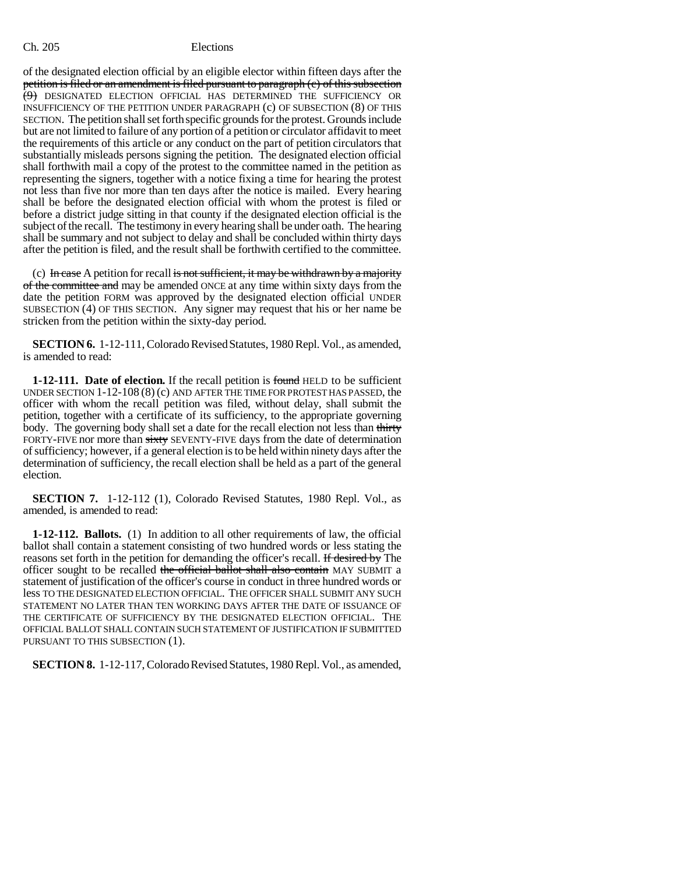## Ch. 205 Elections

of the designated election official by an eligible elector within fifteen days after the petition is filed or an amendment is filed pursuant to paragraph (c) of this subsection (9) DESIGNATED ELECTION OFFICIAL HAS DETERMINED THE SUFFICIENCY OR INSUFFICIENCY OF THE PETITION UNDER PARAGRAPH (c) OF SUBSECTION (8) OF THIS SECTION. The petition shall set forth specific grounds for the protest. Grounds include but are not limited to failure of any portion of a petition or circulator affidavit to meet the requirements of this article or any conduct on the part of petition circulators that substantially misleads persons signing the petition. The designated election official shall forthwith mail a copy of the protest to the committee named in the petition as representing the signers, together with a notice fixing a time for hearing the protest not less than five nor more than ten days after the notice is mailed. Every hearing shall be before the designated election official with whom the protest is filed or before a district judge sitting in that county if the designated election official is the subject of the recall. The testimony in every hearing shall be under oath. The hearing shall be summary and not subject to delay and shall be concluded within thirty days after the petition is filed, and the result shall be forthwith certified to the committee.

(c) In case A petition for recall is not sufficient, it may be withdrawn by a majority of the committee and may be amended ONCE at any time within sixty days from the date the petition FORM was approved by the designated election official UNDER SUBSECTION (4) OF THIS SECTION. Any signer may request that his or her name be stricken from the petition within the sixty-day period.

**SECTION 6.** 1-12-111, Colorado Revised Statutes, 1980 Repl. Vol., as amended, is amended to read:

**1-12-111.** Date of election. If the recall petition is found HELD to be sufficient UNDER SECTION 1-12-108 (8) (c) AND AFTER THE TIME FOR PROTEST HAS PASSED, the officer with whom the recall petition was filed, without delay, shall submit the petition, together with a certificate of its sufficiency, to the appropriate governing body. The governing body shall set a date for the recall election not less than thirty FORTY-FIVE nor more than sixty SEVENTY-FIVE days from the date of determination of sufficiency; however, if a general election is to be held within ninety days after the determination of sufficiency, the recall election shall be held as a part of the general election.

**SECTION 7.** 1-12-112 (1), Colorado Revised Statutes, 1980 Repl. Vol., as amended, is amended to read:

**1-12-112. Ballots.** (1) In addition to all other requirements of law, the official ballot shall contain a statement consisting of two hundred words or less stating the reasons set forth in the petition for demanding the officer's recall. If desired by The officer sought to be recalled the official ballot shall also contain MAY SUBMIT a statement of justification of the officer's course in conduct in three hundred words or less TO THE DESIGNATED ELECTION OFFICIAL. THE OFFICER SHALL SUBMIT ANY SUCH STATEMENT NO LATER THAN TEN WORKING DAYS AFTER THE DATE OF ISSUANCE OF THE CERTIFICATE OF SUFFICIENCY BY THE DESIGNATED ELECTION OFFICIAL. THE OFFICIAL BALLOT SHALL CONTAIN SUCH STATEMENT OF JUSTIFICATION IF SUBMITTED PURSUANT TO THIS SUBSECTION (1).

**SECTION 8.** 1-12-117, Colorado Revised Statutes, 1980 Repl. Vol., as amended,